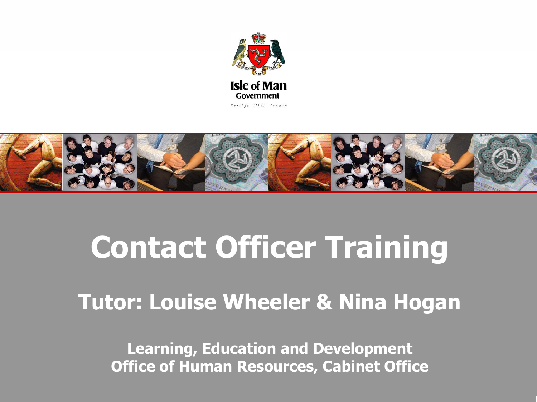



# **Contact Officer Training**

#### **Tutor: Louise Wheeler & Nina Hogan**

**Learning, Education and Development Office of Human Resources, Cabinet Office**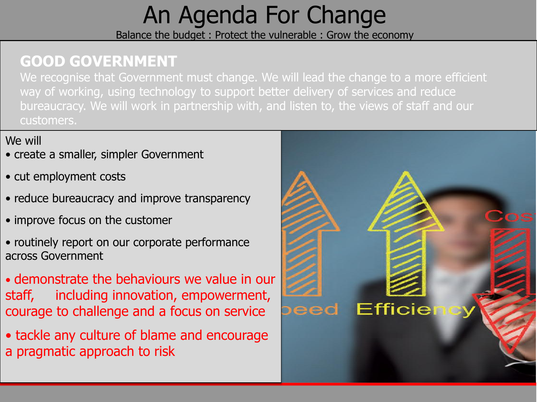## An Agenda For Change

Balance the budget : Protect the vulnerable : Grow the economy

#### **GOOD GOVERNMENT**

We recognise that Government must change. We will lead the change to a more efficient way of working, using technology to support better delivery of services and reduce bureaucracy. We will work in partnership with, and listen to, the views of staff and our customers.

#### We will

- create a smaller, simpler Government
- cut employment costs
- reduce bureaucracy and improve transparency
- improve focus on the customer
- routinely report on our corporate performance across Government
- demonstrate the behaviours we value in our staff, including innovation, empowerment, courage to challenge and a focus on service
- tackle any culture of blame and encourage a pragmatic approach to risk

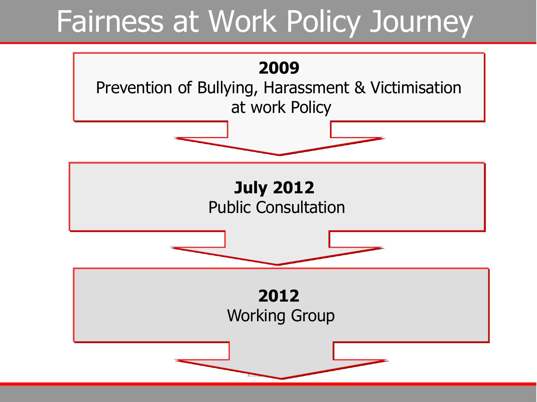## Fairness at Work Policy Journey

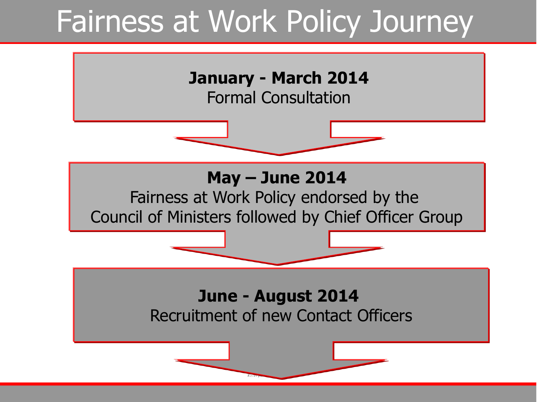## Fairness at Work Policy Journey

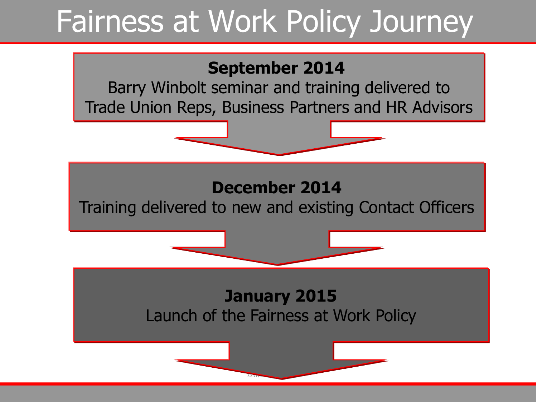## Fairness at Work Policy Journey

#### **September 2014**

Barry Winbolt seminar and training delivered to Trade Union Reps, Business Partners and HR Advisors

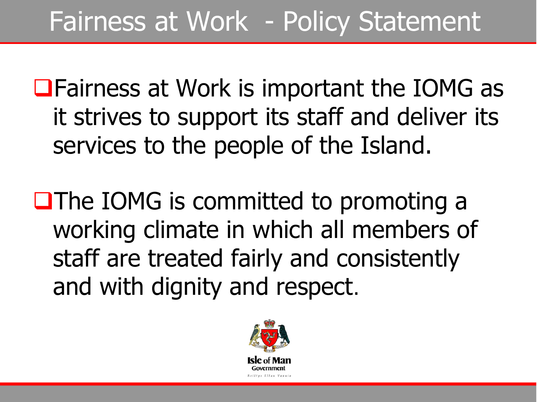## Fairness at Work - Policy Statement

■Fairness at Work is important the IOMG as it strives to support its staff and deliver its services to the people of the Island.

**QThe IOMG is committed to promoting a** working climate in which all members of staff are treated fairly and consistently and with dignity and respect.

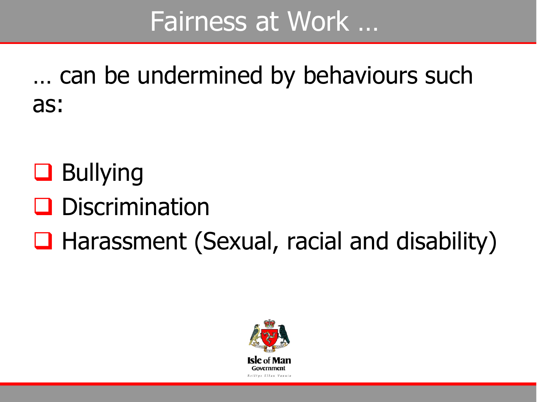## Fairness at Work …

… can be undermined by behaviours such as:

- **Q** Bullying
- **Q** Discrimination
- $\Box$  Harassment (Sexual, racial and disability)

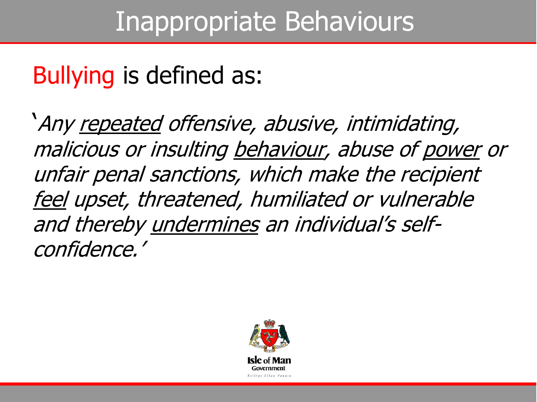## Bullying is defined as:

'Any repeated offensive, abusive, intimidating, malicious or insulting behaviour, abuse of power or unfair penal sanctions, which make the recipient feel upset, threatened, humiliated or vulnerable and thereby undermines an individual's selfconfidence.'

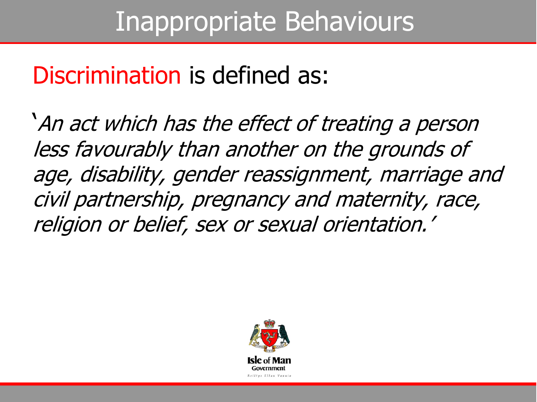### Inappropriate Behaviours

#### Discrimination is defined as:

'An act which has the effect of treating a person less favourably than another on the grounds of age, disability, gender reassignment, marriage and civil partnership, pregnancy and maternity, race, religion or belief, sex or sexual orientation.'

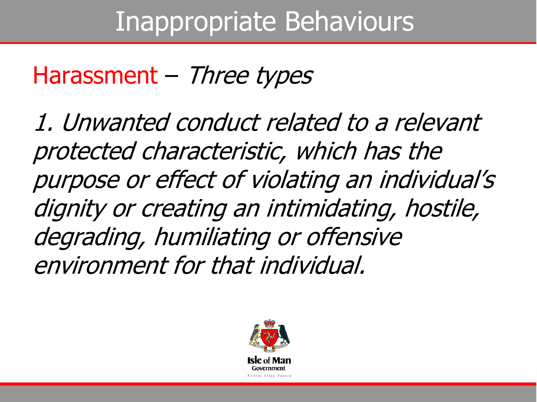### Inappropriate Behaviours

#### Harassment – Three types

1. Unwanted conduct related to a relevant protected characteristic, which has the purpose or effect of violating an individual's dignity or creating an intimidating, hostile, degrading, humiliating or offensive environment for that individual.

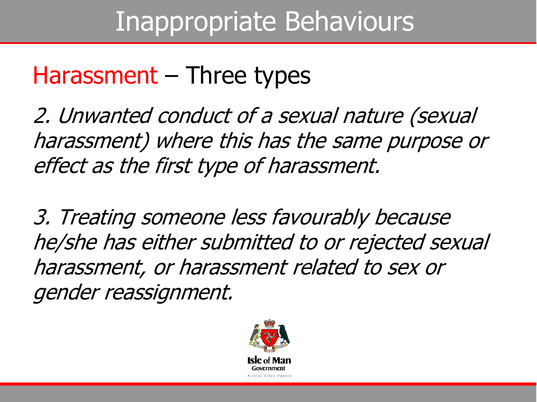## Inappropriate Behaviours

#### Harassment – Three types

2. Unwanted conduct of a sexual nature (sexual harassment) where this has the same purpose or effect as the first type of harassment.

3. Treating someone less favourably because he/she has either submitted to or rejected sexual harassment, or harassment related to sex or gender reassignment.

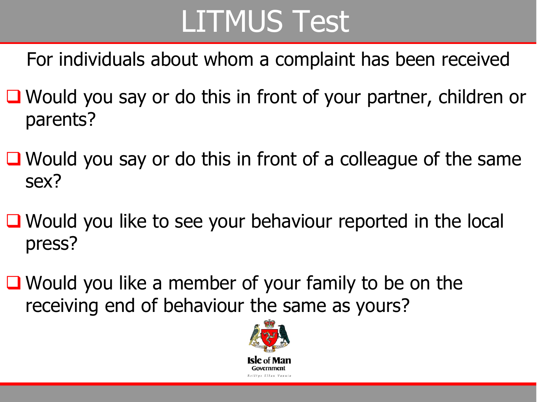# LITMUS Test

For individuals about whom a complaint has been received

- Would you say or do this in front of your partner, children or parents?
- $\Box$  Would you say or do this in front of a colleague of the same sex?
- $\Box$  Would you like to see your behaviour reported in the local press?
- Would you like a member of your family to be on the receiving end of behaviour the same as yours?

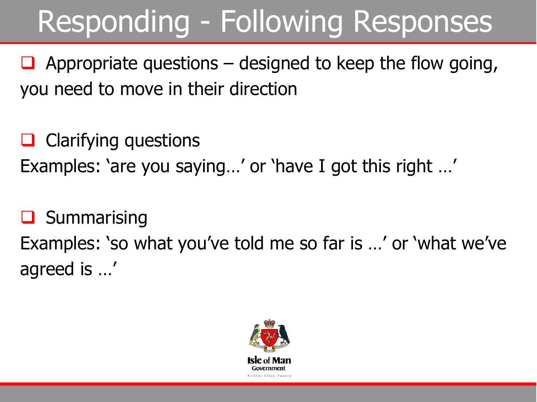# Responding - Following Responses

 $\Box$  Appropriate questions – designed to keep the flow going, you need to move in their direction

 $\Box$  Clarifying questions Examples: 'are you saying…' or 'have I got this right …'

 $\Box$  Summarising Examples: 'so what you've told me so far is …' or 'what we've agreed is …'